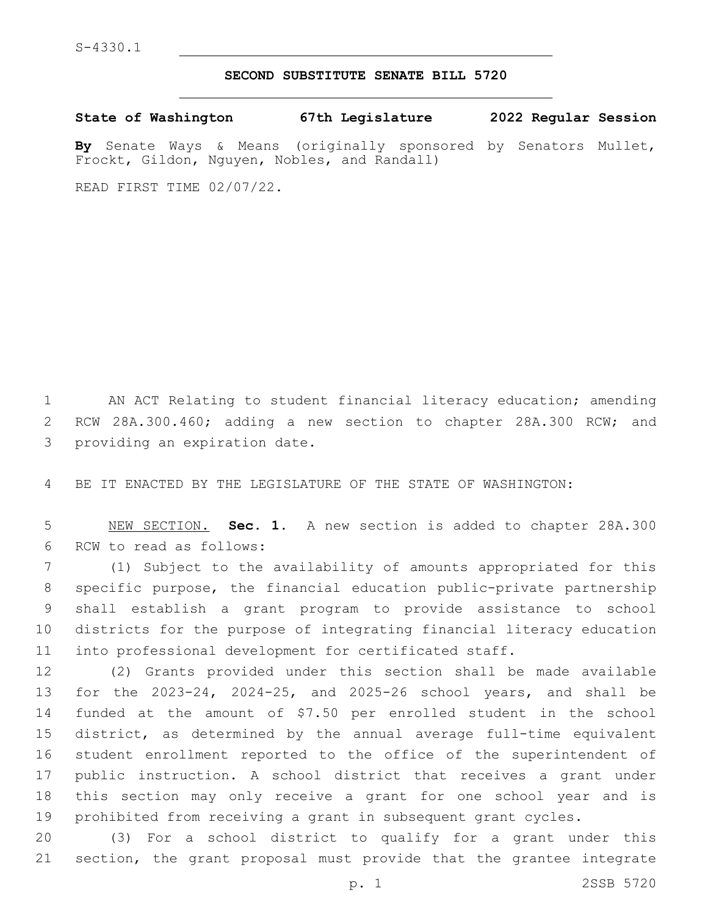## **SECOND SUBSTITUTE SENATE BILL 5720**

**State of Washington 67th Legislature 2022 Regular Session**

**By** Senate Ways & Means (originally sponsored by Senators Mullet, Frockt, Gildon, Nguyen, Nobles, and Randall)

READ FIRST TIME 02/07/22.

 AN ACT Relating to student financial literacy education; amending 2 RCW 28A.300.460; adding a new section to chapter 28A.300 RCW; and 3 providing an expiration date.

BE IT ENACTED BY THE LEGISLATURE OF THE STATE OF WASHINGTON:

 NEW SECTION. **Sec. 1.** A new section is added to chapter 28A.300 6 RCW to read as follows:

 (1) Subject to the availability of amounts appropriated for this specific purpose, the financial education public-private partnership shall establish a grant program to provide assistance to school districts for the purpose of integrating financial literacy education into professional development for certificated staff.

 (2) Grants provided under this section shall be made available for the 2023-24, 2024-25, and 2025-26 school years, and shall be funded at the amount of \$7.50 per enrolled student in the school district, as determined by the annual average full-time equivalent student enrollment reported to the office of the superintendent of public instruction. A school district that receives a grant under this section may only receive a grant for one school year and is prohibited from receiving a grant in subsequent grant cycles.

 (3) For a school district to qualify for a grant under this section, the grant proposal must provide that the grantee integrate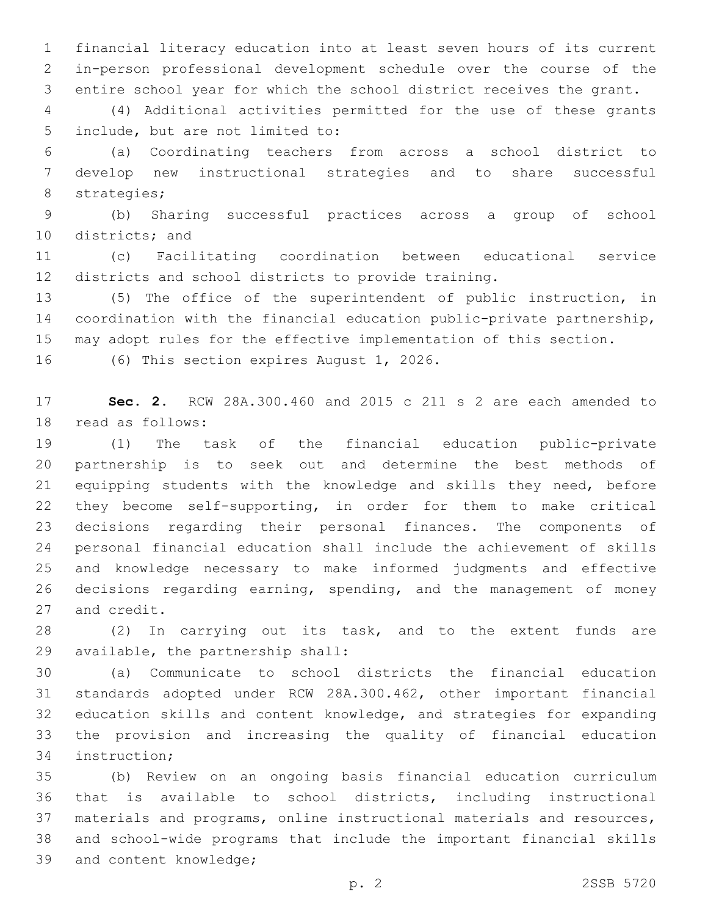financial literacy education into at least seven hours of its current in-person professional development schedule over the course of the entire school year for which the school district receives the grant.

 (4) Additional activities permitted for the use of these grants 5 include, but are not limited to:

 (a) Coordinating teachers from across a school district to develop new instructional strategies and to share successful 8 strategies;

 (b) Sharing successful practices across a group of school 10 districts; and

 (c) Facilitating coordination between educational service districts and school districts to provide training.

 (5) The office of the superintendent of public instruction, in coordination with the financial education public-private partnership, may adopt rules for the effective implementation of this section.

16 (6) This section expires August 1, 2026.

 **Sec. 2.** RCW 28A.300.460 and 2015 c 211 s 2 are each amended to 18 read as follows:

 (1) The task of the financial education public-private partnership is to seek out and determine the best methods of equipping students with the knowledge and skills they need, before they become self-supporting, in order for them to make critical decisions regarding their personal finances. The components of personal financial education shall include the achievement of skills and knowledge necessary to make informed judgments and effective decisions regarding earning, spending, and the management of money 27 and credit.

 (2) In carrying out its task, and to the extent funds are 29 available, the partnership shall:

 (a) Communicate to school districts the financial education standards adopted under RCW 28A.300.462, other important financial education skills and content knowledge, and strategies for expanding the provision and increasing the quality of financial education 34 instruction;

 (b) Review on an ongoing basis financial education curriculum that is available to school districts, including instructional materials and programs, online instructional materials and resources, and school-wide programs that include the important financial skills 39 and content knowledge;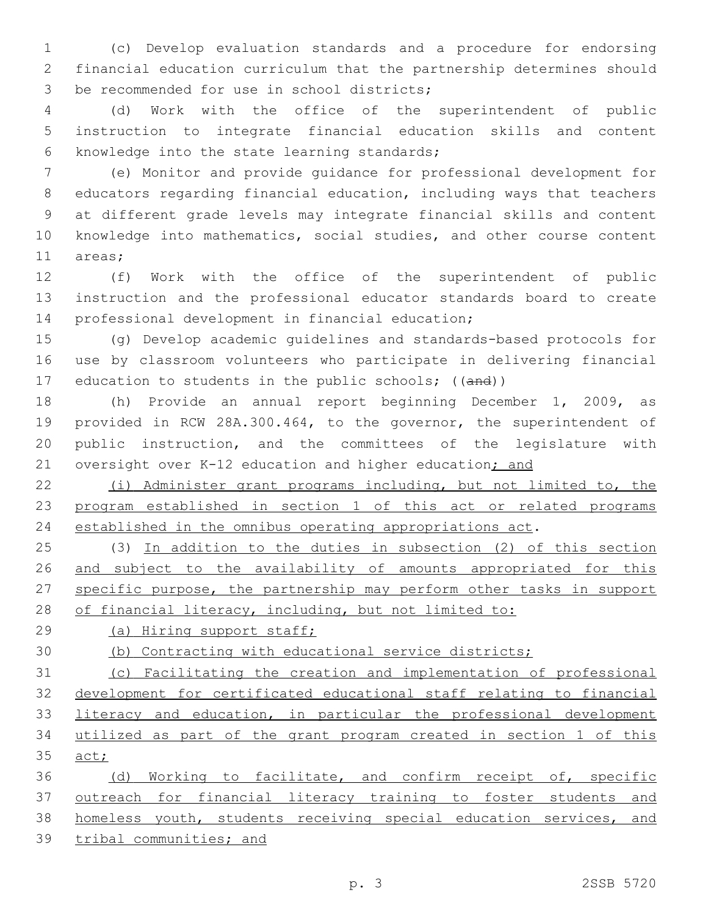(c) Develop evaluation standards and a procedure for endorsing financial education curriculum that the partnership determines should 3 be recommended for use in school districts;

 (d) Work with the office of the superintendent of public instruction to integrate financial education skills and content 6 knowledge into the state learning standards;

 (e) Monitor and provide guidance for professional development for educators regarding financial education, including ways that teachers at different grade levels may integrate financial skills and content knowledge into mathematics, social studies, and other course content 11 areas;

 (f) Work with the office of the superintendent of public instruction and the professional educator standards board to create 14 professional development in financial education;

 (g) Develop academic guidelines and standards-based protocols for use by classroom volunteers who participate in delivering financial 17 education to students in the public schools; ((and))

 (h) Provide an annual report beginning December 1, 2009, as provided in RCW 28A.300.464, to the governor, the superintendent of public instruction, and the committees of the legislature with 21 oversight over K-12 education and higher education; and

 (i) Administer grant programs including, but not limited to, the program established in section 1 of this act or related programs established in the omnibus operating appropriations act.

 (3) In addition to the duties in subsection (2) of this section 26 and subject to the availability of amounts appropriated for this specific purpose, the partnership may perform other tasks in support 28 of financial literacy, including, but not limited to:

(a) Hiring support staff;

(b) Contracting with educational service districts;

 (c) Facilitating the creation and implementation of professional development for certificated educational staff relating to financial 33 literacy and education, in particular the professional development utilized as part of the grant program created in section 1 of this 35 act;

36 (d) Working to facilitate, and confirm receipt of, specific outreach for financial literacy training to foster students and homeless youth, students receiving special education services, and tribal communities; and